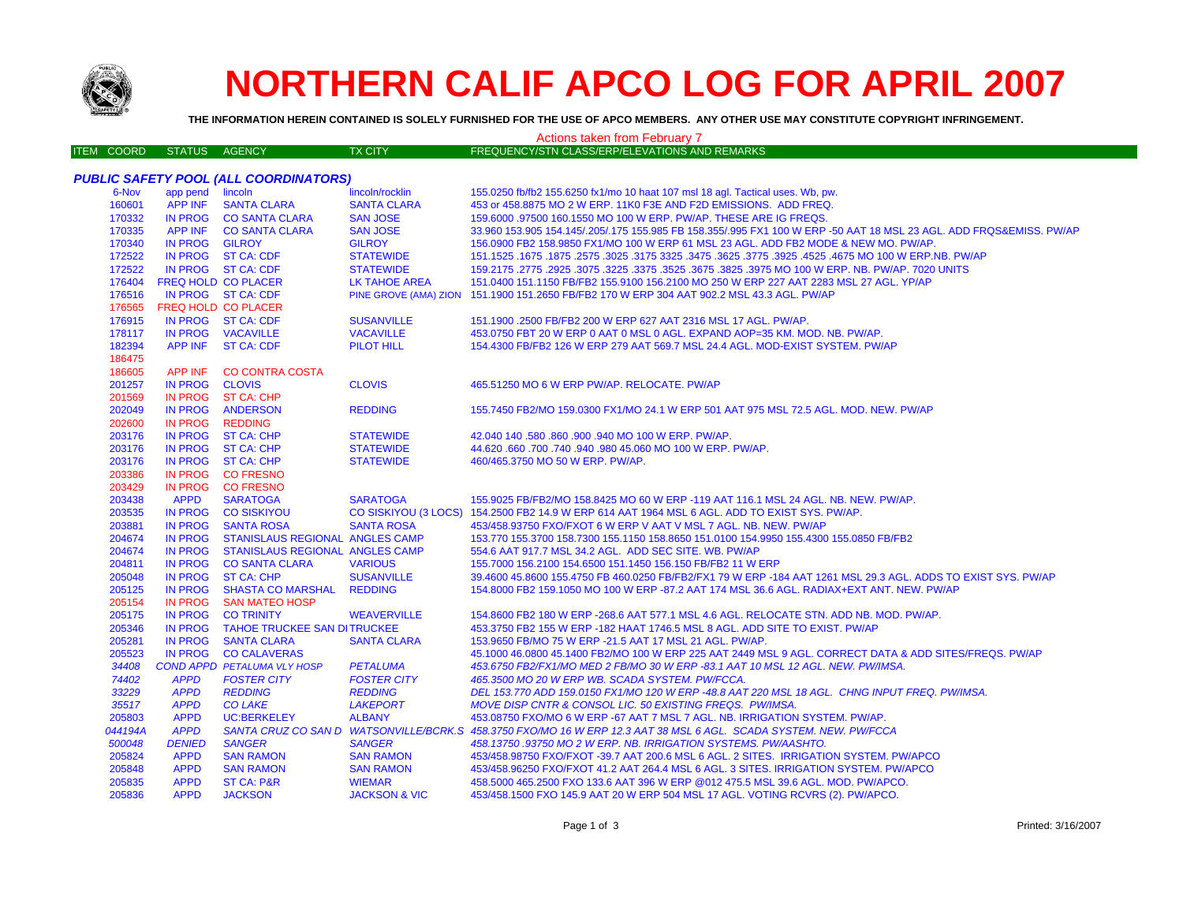

# **NORTHERN CALIF APCO LOG FOR APRIL 2007**

**THE INFORMATION HEREIN CONTAINED IS SOLELY FURNISHED FOR THE USE OF APCO MEMBERS. ANY OTHER USE MAY CONSTITUTE COPYRIGHT INFRINGEMENT.**

| FREQUENCY/STN CLASS/ERP/ELEVATIONS AND REMARKS<br><b>ITEM COORD</b><br><b>STATUS</b><br><b>AGENCY</b><br><b>TX CITY</b><br>PUBLIC SAFETY POOL (ALL COORDINATORS)<br>6-Nov<br>app pend lincoln<br>lincoln/rocklin<br>155.0250 fb/fb2 155.6250 fx1/mo 10 haat 107 msl 18 agl. Tactical uses. Wb, pw.<br>160601<br>APP INF SANTA CLARA<br><b>SANTA CLARA</b><br>453 or 458.8875 MO 2 W ERP. 11K0 F3E AND F2D EMISSIONS. ADD FREQ.<br>170332<br>IN PROG CO SANTA CLARA<br><b>SAN JOSE</b><br>159,6000 .97500 160.1550 MO 100 W ERP. PW/AP. THESE ARE IG FREQS.<br>170335<br>APP INF CO SANTA CLARA<br><b>SAN JOSE</b><br>33.960 153.905 154.145/.205/.175 155.985 FB 158.355/.995 FX1 100 W ERP -50 AAT 18 MSL 23 AGL. ADD FRQS&EMISS. PW/AP<br>170340<br>IN PROG GILROY<br><b>GILROY</b><br>156.0900 FB2 158.9850 FX1/MO 100 W ERP 61 MSL 23 AGL. ADD FB2 MODE & NEW MO. PW/AP.<br>172522<br>IN PROG ST CA: CDF<br><b>STATEWIDE</b><br>1675. T675. 1675. 1675. 1675. 1675. 1675. 1775. 1625. 1675. 1625. 1675. 1675. 1675. 1675. 1675. 1675. 1675. 1<br>172522<br>IN PROG ST CA: CDF<br><b>STATEWIDE</b><br>159.2175 .2775 .2925 .3075 .3225 .3375 .3525 .3675 .3825 .3975 MO 100 W ERP. NB. PW/AP. 7020 UNITS<br>176404<br><b>FREQ HOLD CO PLACER</b><br><b>LK TAHOE AREA</b><br>151.0400 151.1150 FB/FB2 155.9100 156.2100 MO 250 W ERP 227 AAT 2283 MSL 27 AGL. YP/AP<br>176516<br>IN PROG ST CA: CDF<br>PINE GROVE (AMA) ZION 151.1900 151.2650 FB/FB2 170 W ERP 304 AAT 902.2 MSL 43.3 AGL. PW/AP<br>176565<br>FREQ HOLD CO PLACER<br>176915<br>IN PROG ST CA: CDF<br><b>SUSANVILLE</b><br>151.1900 .2500 FB/FB2 200 W ERP 627 AAT 2316 MSL 17 AGL. PW/AP.<br>IN PROG VACAVILLE<br>178117<br><b>VACAVILLE</b><br>453.0750 FBT 20 W ERP 0 AAT 0 MSL 0 AGL. EXPAND AOP=35 KM. MOD. NB. PW/AP.<br>182394<br>APP INF ST CA: CDF<br><b>PILOT HILL</b><br>154,4300 FB/FB2 126 W ERP 279 AAT 569.7 MSL 24.4 AGL, MOD-EXIST SYSTEM, PW/AP<br>186475<br><b>CO CONTRA COSTA</b><br>186605<br>APP INF<br>201257<br>IN PROG CLOVIS<br><b>CLOVIS</b><br>465.51250 MO 6 W ERP PW/AP, RELOCATE, PW/AP<br>201569<br>IN PROG ST CA: CHP<br>202049<br>IN PROG ANDERSON<br><b>REDDING</b><br>155.7450 FB2/MO 159.0300 FX1/MO 24.1 W ERP 501 AAT 975 MSL 72.5 AGL. MOD. NEW. PW/AP<br>202600<br>IN PROG REDDING<br>IN PROG ST CA: CHP<br>203176<br>42.040 140 .580 .860 .900 .940 MO 100 W ERP. PW/AP.<br><b>STATEWIDE</b><br>IN PROG ST CA: CHP<br>203176<br><b>STATEWIDE</b><br>44.620,660,700,740,940,980,45.060 MO 100 W ERP. PW/AP.<br>IN PROG ST CA: CHP<br>203176<br><b>STATEWIDE</b><br>460/465.3750 MO 50 W ERP. PW/AP.<br>IN PROG CO FRESNO<br>203386<br>IN PROG CO FRESNO<br>203429<br>203438<br><b>APPD</b><br><b>SARATOGA</b><br><b>SARATOGA</b><br>155.9025 FB/FB2/MO 158.8425 MO 60 W ERP -119 AAT 116.1 MSL 24 AGL. NB. NEW. PW/AP.<br>203535<br>CO SISKIYOU (3 LOCS) 154.2500 FB2 14.9 W ERP 614 AAT 1964 MSL 6 AGL. ADD TO EXIST SYS. PW/AP.<br>IN PROG CO SISKIYOU<br>203881<br>IN PROG SANTA ROSA<br><b>SANTA ROSA</b><br>453/458.93750 FXO/FXOT 6 W ERP V AAT V MSL 7 AGL. NB. NEW. PW/AP<br>204674<br>IN PROG STANISLAUS REGIONAL ANGLES CAMP<br>153.770 155.3700 158.7300 155.1150 158.8650 151.0100 154.9950 155.4300 155.0850 FB/FB2<br>IN PROG STANISLAUS REGIONAL ANGLES CAMP<br>204674<br>554.6 AAT 917.7 MSL 34.2 AGL. ADD SEC SITE. WB. PW/AP<br>204811<br>IN PROG CO SANTA CLARA<br><b>VARIOUS</b><br>155.7000 156.2100 154.6500 151.1450 156.150 FB/FB2 11 W ERP<br>IN PROG ST CA: CHP<br><b>SUSANVILLE</b><br>205048<br>39.4600 45.8600 155.4750 FB 460.0250 FB/FB2/FX1 79 W ERP -184 AAT 1261 MSL 29.3 AGL. ADDS TO EXIST SYS. PW/AP<br>205125<br>IN PROG SHASTA CO MARSHAL<br><b>REDDING</b><br>154.8000 FB2 159.1050 MO 100 W ERP -87.2 AAT 174 MSL 36.6 AGL. RADIAX+EXT ANT. NEW. PW/AP<br>205154<br>IN PROG<br>SAN MATEO HOSP<br>205175<br>IN PROG CO TRINITY<br><b>WEAVERVILLE</b><br>154.8600 FB2 180 W ERP -268.6 AAT 577.1 MSL 4.6 AGL. RELOCATE STN. ADD NB. MOD. PW/AP.<br>205346<br>IN PROG TAHOE TRUCKEE SAN DITRUCKEE<br>453.3750 FB2 155 W ERP -182 HAAT 1746.5 MSL 8 AGL. ADD SITE TO EXIST. PW/AP<br>IN PROG SANTA CLARA<br>205281<br><b>SANTA CLARA</b><br>153.9650 FB/MO 75 W ERP -21.5 AAT 17 MSL 21 AGL. PW/AP.<br>IN PROG CO CALAVERAS<br>205523<br>45.1000 46.0800 45.1400 FB2/MO 100 W ERP 225 AAT 2449 MSL 9 AGL. CORRECT DATA & ADD SITES/FREQS. PW/AP<br>34408<br><b>COND APPD PETALUMA VLY HOSP</b><br><b>PETALUMA</b><br>453.6750 FB2/FX1/MO MED 2 FB/MO 30 W ERP -83.1 AAT 10 MSL 12 AGL. NEW. PW/IMSA.<br>74402<br><b>APPD</b><br><b>FOSTER CITY</b><br><b>FOSTER CITY</b><br>465.3500 MO 20 W ERP WB. SCADA SYSTEM. PW/FCCA.<br>33229<br><b>APPD</b><br><b>REDDING</b><br><b>REDDING</b><br>DEL 153.770 ADD 159.0150 FX1/MO 120 W ERP -48.8 AAT 220 MSL 18 AGL. CHNG INPUT FREQ. PW/IMSA.<br>35517<br><b>APPD</b><br><b>CO LAKE</b><br><b>LAKEPORT</b><br>MOVE DISP CNTR & CONSOL LIC. 50 EXISTING FREQS. PW/IMSA.<br>205803<br><b>APPD</b><br><b>UC:BERKELEY</b><br><b>ALBANY</b><br>453.08750 FXO/MO 6 W ERP -67 AAT 7 MSL 7 AGL. NB. IRRIGATION SYSTEM. PW/AP.<br>044194A<br><b>APPD</b><br>SANTA CRUZ CO SAN D WATSONVILLE/BCRK.S 458.3750 FXO/MO 16 W ERP 12.3 AAT 38 MSL 6 AGL. SCADA SYSTEM. NEW. PW/FCCA<br><b>SANGER</b><br><b>SANGER</b><br>500048<br><b>DENIED</b><br>458.13750.93750 MO 2 W ERP. NB. IRRIGATION SYSTEMS. PW/AASHTO.<br>205824<br><b>APPD</b><br><b>SAN RAMON</b><br><b>SAN RAMON</b><br>453/458.98750 FXO/FXOT -39.7 AAT 200.6 MSL 6 AGL. 2 SITES. IRRIGATION SYSTEM. PW/APCO<br>205848<br><b>APPD</b><br><b>SAN RAMON</b><br><b>SAN RAMON</b><br>453/458.96250 FXO/FXOT 41.2 AAT 264.4 MSL 6 AGL. 3 SITES. IRRIGATION SYSTEM. PW/APCO<br>205835<br><b>APPD</b><br><b>ST CA: P&amp;R</b><br><b>WIEMAR</b><br>458.5000 465.2500 FXO 133.6 AAT 396 W ERP @012 475.5 MSL 39.6 AGL. MOD. PW/APCO.<br>205836<br><b>APPD</b><br><b>JACKSON</b><br><b>JACKSON &amp; VIC</b><br>453/458.1500 FXO 145.9 AAT 20 W ERP 504 MSL 17 AGL, VOTING RCVRS (2), PW/APCO, | Actions taken from February 7 |  |  |  |  |  |  |
|-----------------------------------------------------------------------------------------------------------------------------------------------------------------------------------------------------------------------------------------------------------------------------------------------------------------------------------------------------------------------------------------------------------------------------------------------------------------------------------------------------------------------------------------------------------------------------------------------------------------------------------------------------------------------------------------------------------------------------------------------------------------------------------------------------------------------------------------------------------------------------------------------------------------------------------------------------------------------------------------------------------------------------------------------------------------------------------------------------------------------------------------------------------------------------------------------------------------------------------------------------------------------------------------------------------------------------------------------------------------------------------------------------------------------------------------------------------------------------------------------------------------------------------------------------------------------------------------------------------------------------------------------------------------------------------------------------------------------------------------------------------------------------------------------------------------------------------------------------------------------------------------------------------------------------------------------------------------------------------------------------------------------------------------------------------------------------------------------------------------------------------------------------------------------------------------------------------------------------------------------------------------------------------------------------------------------------------------------------------------------------------------------------------------------------------------------------------------------------------------------------------------------------------------------------------------------------------------------------------------------------------------------------------------------------------------------------------------------------------------------------------------------------------------------------------------------------------------------------------------------------------------------------------------------------------------------------------------------------------------------------------------------------------------------------------------------------------------------------------------------------------------------------------------------------------------------------------------------------------------------------------------------------------------------------------------------------------------------------------------------------------------------------------------------------------------------------------------------------------------------------------------------------------------------------------------------------------------------------------------------------------------------------------------------------------------------------------------------------------------------------------------------------------------------------------------------------------------------------------------------------------------------------------------------------------------------------------------------------------------------------------------------------------------------------------------------------------------------------------------------------------------------------------------------------------------------------------------------------------------------------------------------------------------------------------------------------------------------------------------------------------------------------------------------------------------------------------------------------------------------------------------------------------------------------------------------------------------------------------------------------------------------------------------------------------------------------------------------------------------------------------------------------------------------------------------------------------------------------------------------------------------------------------------------------------------------------------------------------------------------------------------------------------------------------------------------------------------------------------------------------------------------------------------------------------------------------------------------------------------------------------------------------------------------------------------------------------------------------------------------------------------------------------------------------------------------------------------------------------------------------------------------------------------------------------------------------------------------------------------------------------------------------------------------------------------------------------------------------------------------------------------------------------------------------------------------------------------------------------------------------------------------------------------------------------------------------------------------------------------------------------------------------------|-------------------------------|--|--|--|--|--|--|
|                                                                                                                                                                                                                                                                                                                                                                                                                                                                                                                                                                                                                                                                                                                                                                                                                                                                                                                                                                                                                                                                                                                                                                                                                                                                                                                                                                                                                                                                                                                                                                                                                                                                                                                                                                                                                                                                                                                                                                                                                                                                                                                                                                                                                                                                                                                                                                                                                                                                                                                                                                                                                                                                                                                                                                                                                                                                                                                                                                                                                                                                                                                                                                                                                                                                                                                                                                                                                                                                                                                                                                                                                                                                                                                                                                                                                                                                                                                                                                                                                                                                                                                                                                                                                                                                                                                                                                                                                                                                                                                                                                                                                                                                                                                                                                                                                                                                                                                                                                                                                                                                                                                                                                                                                                                                                                                                                                                                                                                                                                                                                                                                                                                                                                                                                                                                                                                                                                                                                                                                                                   |                               |  |  |  |  |  |  |
|                                                                                                                                                                                                                                                                                                                                                                                                                                                                                                                                                                                                                                                                                                                                                                                                                                                                                                                                                                                                                                                                                                                                                                                                                                                                                                                                                                                                                                                                                                                                                                                                                                                                                                                                                                                                                                                                                                                                                                                                                                                                                                                                                                                                                                                                                                                                                                                                                                                                                                                                                                                                                                                                                                                                                                                                                                                                                                                                                                                                                                                                                                                                                                                                                                                                                                                                                                                                                                                                                                                                                                                                                                                                                                                                                                                                                                                                                                                                                                                                                                                                                                                                                                                                                                                                                                                                                                                                                                                                                                                                                                                                                                                                                                                                                                                                                                                                                                                                                                                                                                                                                                                                                                                                                                                                                                                                                                                                                                                                                                                                                                                                                                                                                                                                                                                                                                                                                                                                                                                                                                   |                               |  |  |  |  |  |  |
|                                                                                                                                                                                                                                                                                                                                                                                                                                                                                                                                                                                                                                                                                                                                                                                                                                                                                                                                                                                                                                                                                                                                                                                                                                                                                                                                                                                                                                                                                                                                                                                                                                                                                                                                                                                                                                                                                                                                                                                                                                                                                                                                                                                                                                                                                                                                                                                                                                                                                                                                                                                                                                                                                                                                                                                                                                                                                                                                                                                                                                                                                                                                                                                                                                                                                                                                                                                                                                                                                                                                                                                                                                                                                                                                                                                                                                                                                                                                                                                                                                                                                                                                                                                                                                                                                                                                                                                                                                                                                                                                                                                                                                                                                                                                                                                                                                                                                                                                                                                                                                                                                                                                                                                                                                                                                                                                                                                                                                                                                                                                                                                                                                                                                                                                                                                                                                                                                                                                                                                                                                   |                               |  |  |  |  |  |  |
|                                                                                                                                                                                                                                                                                                                                                                                                                                                                                                                                                                                                                                                                                                                                                                                                                                                                                                                                                                                                                                                                                                                                                                                                                                                                                                                                                                                                                                                                                                                                                                                                                                                                                                                                                                                                                                                                                                                                                                                                                                                                                                                                                                                                                                                                                                                                                                                                                                                                                                                                                                                                                                                                                                                                                                                                                                                                                                                                                                                                                                                                                                                                                                                                                                                                                                                                                                                                                                                                                                                                                                                                                                                                                                                                                                                                                                                                                                                                                                                                                                                                                                                                                                                                                                                                                                                                                                                                                                                                                                                                                                                                                                                                                                                                                                                                                                                                                                                                                                                                                                                                                                                                                                                                                                                                                                                                                                                                                                                                                                                                                                                                                                                                                                                                                                                                                                                                                                                                                                                                                                   |                               |  |  |  |  |  |  |
|                                                                                                                                                                                                                                                                                                                                                                                                                                                                                                                                                                                                                                                                                                                                                                                                                                                                                                                                                                                                                                                                                                                                                                                                                                                                                                                                                                                                                                                                                                                                                                                                                                                                                                                                                                                                                                                                                                                                                                                                                                                                                                                                                                                                                                                                                                                                                                                                                                                                                                                                                                                                                                                                                                                                                                                                                                                                                                                                                                                                                                                                                                                                                                                                                                                                                                                                                                                                                                                                                                                                                                                                                                                                                                                                                                                                                                                                                                                                                                                                                                                                                                                                                                                                                                                                                                                                                                                                                                                                                                                                                                                                                                                                                                                                                                                                                                                                                                                                                                                                                                                                                                                                                                                                                                                                                                                                                                                                                                                                                                                                                                                                                                                                                                                                                                                                                                                                                                                                                                                                                                   |                               |  |  |  |  |  |  |
|                                                                                                                                                                                                                                                                                                                                                                                                                                                                                                                                                                                                                                                                                                                                                                                                                                                                                                                                                                                                                                                                                                                                                                                                                                                                                                                                                                                                                                                                                                                                                                                                                                                                                                                                                                                                                                                                                                                                                                                                                                                                                                                                                                                                                                                                                                                                                                                                                                                                                                                                                                                                                                                                                                                                                                                                                                                                                                                                                                                                                                                                                                                                                                                                                                                                                                                                                                                                                                                                                                                                                                                                                                                                                                                                                                                                                                                                                                                                                                                                                                                                                                                                                                                                                                                                                                                                                                                                                                                                                                                                                                                                                                                                                                                                                                                                                                                                                                                                                                                                                                                                                                                                                                                                                                                                                                                                                                                                                                                                                                                                                                                                                                                                                                                                                                                                                                                                                                                                                                                                                                   |                               |  |  |  |  |  |  |
|                                                                                                                                                                                                                                                                                                                                                                                                                                                                                                                                                                                                                                                                                                                                                                                                                                                                                                                                                                                                                                                                                                                                                                                                                                                                                                                                                                                                                                                                                                                                                                                                                                                                                                                                                                                                                                                                                                                                                                                                                                                                                                                                                                                                                                                                                                                                                                                                                                                                                                                                                                                                                                                                                                                                                                                                                                                                                                                                                                                                                                                                                                                                                                                                                                                                                                                                                                                                                                                                                                                                                                                                                                                                                                                                                                                                                                                                                                                                                                                                                                                                                                                                                                                                                                                                                                                                                                                                                                                                                                                                                                                                                                                                                                                                                                                                                                                                                                                                                                                                                                                                                                                                                                                                                                                                                                                                                                                                                                                                                                                                                                                                                                                                                                                                                                                                                                                                                                                                                                                                                                   |                               |  |  |  |  |  |  |
|                                                                                                                                                                                                                                                                                                                                                                                                                                                                                                                                                                                                                                                                                                                                                                                                                                                                                                                                                                                                                                                                                                                                                                                                                                                                                                                                                                                                                                                                                                                                                                                                                                                                                                                                                                                                                                                                                                                                                                                                                                                                                                                                                                                                                                                                                                                                                                                                                                                                                                                                                                                                                                                                                                                                                                                                                                                                                                                                                                                                                                                                                                                                                                                                                                                                                                                                                                                                                                                                                                                                                                                                                                                                                                                                                                                                                                                                                                                                                                                                                                                                                                                                                                                                                                                                                                                                                                                                                                                                                                                                                                                                                                                                                                                                                                                                                                                                                                                                                                                                                                                                                                                                                                                                                                                                                                                                                                                                                                                                                                                                                                                                                                                                                                                                                                                                                                                                                                                                                                                                                                   |                               |  |  |  |  |  |  |
|                                                                                                                                                                                                                                                                                                                                                                                                                                                                                                                                                                                                                                                                                                                                                                                                                                                                                                                                                                                                                                                                                                                                                                                                                                                                                                                                                                                                                                                                                                                                                                                                                                                                                                                                                                                                                                                                                                                                                                                                                                                                                                                                                                                                                                                                                                                                                                                                                                                                                                                                                                                                                                                                                                                                                                                                                                                                                                                                                                                                                                                                                                                                                                                                                                                                                                                                                                                                                                                                                                                                                                                                                                                                                                                                                                                                                                                                                                                                                                                                                                                                                                                                                                                                                                                                                                                                                                                                                                                                                                                                                                                                                                                                                                                                                                                                                                                                                                                                                                                                                                                                                                                                                                                                                                                                                                                                                                                                                                                                                                                                                                                                                                                                                                                                                                                                                                                                                                                                                                                                                                   |                               |  |  |  |  |  |  |
|                                                                                                                                                                                                                                                                                                                                                                                                                                                                                                                                                                                                                                                                                                                                                                                                                                                                                                                                                                                                                                                                                                                                                                                                                                                                                                                                                                                                                                                                                                                                                                                                                                                                                                                                                                                                                                                                                                                                                                                                                                                                                                                                                                                                                                                                                                                                                                                                                                                                                                                                                                                                                                                                                                                                                                                                                                                                                                                                                                                                                                                                                                                                                                                                                                                                                                                                                                                                                                                                                                                                                                                                                                                                                                                                                                                                                                                                                                                                                                                                                                                                                                                                                                                                                                                                                                                                                                                                                                                                                                                                                                                                                                                                                                                                                                                                                                                                                                                                                                                                                                                                                                                                                                                                                                                                                                                                                                                                                                                                                                                                                                                                                                                                                                                                                                                                                                                                                                                                                                                                                                   |                               |  |  |  |  |  |  |
|                                                                                                                                                                                                                                                                                                                                                                                                                                                                                                                                                                                                                                                                                                                                                                                                                                                                                                                                                                                                                                                                                                                                                                                                                                                                                                                                                                                                                                                                                                                                                                                                                                                                                                                                                                                                                                                                                                                                                                                                                                                                                                                                                                                                                                                                                                                                                                                                                                                                                                                                                                                                                                                                                                                                                                                                                                                                                                                                                                                                                                                                                                                                                                                                                                                                                                                                                                                                                                                                                                                                                                                                                                                                                                                                                                                                                                                                                                                                                                                                                                                                                                                                                                                                                                                                                                                                                                                                                                                                                                                                                                                                                                                                                                                                                                                                                                                                                                                                                                                                                                                                                                                                                                                                                                                                                                                                                                                                                                                                                                                                                                                                                                                                                                                                                                                                                                                                                                                                                                                                                                   |                               |  |  |  |  |  |  |
|                                                                                                                                                                                                                                                                                                                                                                                                                                                                                                                                                                                                                                                                                                                                                                                                                                                                                                                                                                                                                                                                                                                                                                                                                                                                                                                                                                                                                                                                                                                                                                                                                                                                                                                                                                                                                                                                                                                                                                                                                                                                                                                                                                                                                                                                                                                                                                                                                                                                                                                                                                                                                                                                                                                                                                                                                                                                                                                                                                                                                                                                                                                                                                                                                                                                                                                                                                                                                                                                                                                                                                                                                                                                                                                                                                                                                                                                                                                                                                                                                                                                                                                                                                                                                                                                                                                                                                                                                                                                                                                                                                                                                                                                                                                                                                                                                                                                                                                                                                                                                                                                                                                                                                                                                                                                                                                                                                                                                                                                                                                                                                                                                                                                                                                                                                                                                                                                                                                                                                                                                                   |                               |  |  |  |  |  |  |
|                                                                                                                                                                                                                                                                                                                                                                                                                                                                                                                                                                                                                                                                                                                                                                                                                                                                                                                                                                                                                                                                                                                                                                                                                                                                                                                                                                                                                                                                                                                                                                                                                                                                                                                                                                                                                                                                                                                                                                                                                                                                                                                                                                                                                                                                                                                                                                                                                                                                                                                                                                                                                                                                                                                                                                                                                                                                                                                                                                                                                                                                                                                                                                                                                                                                                                                                                                                                                                                                                                                                                                                                                                                                                                                                                                                                                                                                                                                                                                                                                                                                                                                                                                                                                                                                                                                                                                                                                                                                                                                                                                                                                                                                                                                                                                                                                                                                                                                                                                                                                                                                                                                                                                                                                                                                                                                                                                                                                                                                                                                                                                                                                                                                                                                                                                                                                                                                                                                                                                                                                                   |                               |  |  |  |  |  |  |
|                                                                                                                                                                                                                                                                                                                                                                                                                                                                                                                                                                                                                                                                                                                                                                                                                                                                                                                                                                                                                                                                                                                                                                                                                                                                                                                                                                                                                                                                                                                                                                                                                                                                                                                                                                                                                                                                                                                                                                                                                                                                                                                                                                                                                                                                                                                                                                                                                                                                                                                                                                                                                                                                                                                                                                                                                                                                                                                                                                                                                                                                                                                                                                                                                                                                                                                                                                                                                                                                                                                                                                                                                                                                                                                                                                                                                                                                                                                                                                                                                                                                                                                                                                                                                                                                                                                                                                                                                                                                                                                                                                                                                                                                                                                                                                                                                                                                                                                                                                                                                                                                                                                                                                                                                                                                                                                                                                                                                                                                                                                                                                                                                                                                                                                                                                                                                                                                                                                                                                                                                                   |                               |  |  |  |  |  |  |
|                                                                                                                                                                                                                                                                                                                                                                                                                                                                                                                                                                                                                                                                                                                                                                                                                                                                                                                                                                                                                                                                                                                                                                                                                                                                                                                                                                                                                                                                                                                                                                                                                                                                                                                                                                                                                                                                                                                                                                                                                                                                                                                                                                                                                                                                                                                                                                                                                                                                                                                                                                                                                                                                                                                                                                                                                                                                                                                                                                                                                                                                                                                                                                                                                                                                                                                                                                                                                                                                                                                                                                                                                                                                                                                                                                                                                                                                                                                                                                                                                                                                                                                                                                                                                                                                                                                                                                                                                                                                                                                                                                                                                                                                                                                                                                                                                                                                                                                                                                                                                                                                                                                                                                                                                                                                                                                                                                                                                                                                                                                                                                                                                                                                                                                                                                                                                                                                                                                                                                                                                                   |                               |  |  |  |  |  |  |
|                                                                                                                                                                                                                                                                                                                                                                                                                                                                                                                                                                                                                                                                                                                                                                                                                                                                                                                                                                                                                                                                                                                                                                                                                                                                                                                                                                                                                                                                                                                                                                                                                                                                                                                                                                                                                                                                                                                                                                                                                                                                                                                                                                                                                                                                                                                                                                                                                                                                                                                                                                                                                                                                                                                                                                                                                                                                                                                                                                                                                                                                                                                                                                                                                                                                                                                                                                                                                                                                                                                                                                                                                                                                                                                                                                                                                                                                                                                                                                                                                                                                                                                                                                                                                                                                                                                                                                                                                                                                                                                                                                                                                                                                                                                                                                                                                                                                                                                                                                                                                                                                                                                                                                                                                                                                                                                                                                                                                                                                                                                                                                                                                                                                                                                                                                                                                                                                                                                                                                                                                                   |                               |  |  |  |  |  |  |
|                                                                                                                                                                                                                                                                                                                                                                                                                                                                                                                                                                                                                                                                                                                                                                                                                                                                                                                                                                                                                                                                                                                                                                                                                                                                                                                                                                                                                                                                                                                                                                                                                                                                                                                                                                                                                                                                                                                                                                                                                                                                                                                                                                                                                                                                                                                                                                                                                                                                                                                                                                                                                                                                                                                                                                                                                                                                                                                                                                                                                                                                                                                                                                                                                                                                                                                                                                                                                                                                                                                                                                                                                                                                                                                                                                                                                                                                                                                                                                                                                                                                                                                                                                                                                                                                                                                                                                                                                                                                                                                                                                                                                                                                                                                                                                                                                                                                                                                                                                                                                                                                                                                                                                                                                                                                                                                                                                                                                                                                                                                                                                                                                                                                                                                                                                                                                                                                                                                                                                                                                                   |                               |  |  |  |  |  |  |
|                                                                                                                                                                                                                                                                                                                                                                                                                                                                                                                                                                                                                                                                                                                                                                                                                                                                                                                                                                                                                                                                                                                                                                                                                                                                                                                                                                                                                                                                                                                                                                                                                                                                                                                                                                                                                                                                                                                                                                                                                                                                                                                                                                                                                                                                                                                                                                                                                                                                                                                                                                                                                                                                                                                                                                                                                                                                                                                                                                                                                                                                                                                                                                                                                                                                                                                                                                                                                                                                                                                                                                                                                                                                                                                                                                                                                                                                                                                                                                                                                                                                                                                                                                                                                                                                                                                                                                                                                                                                                                                                                                                                                                                                                                                                                                                                                                                                                                                                                                                                                                                                                                                                                                                                                                                                                                                                                                                                                                                                                                                                                                                                                                                                                                                                                                                                                                                                                                                                                                                                                                   |                               |  |  |  |  |  |  |
|                                                                                                                                                                                                                                                                                                                                                                                                                                                                                                                                                                                                                                                                                                                                                                                                                                                                                                                                                                                                                                                                                                                                                                                                                                                                                                                                                                                                                                                                                                                                                                                                                                                                                                                                                                                                                                                                                                                                                                                                                                                                                                                                                                                                                                                                                                                                                                                                                                                                                                                                                                                                                                                                                                                                                                                                                                                                                                                                                                                                                                                                                                                                                                                                                                                                                                                                                                                                                                                                                                                                                                                                                                                                                                                                                                                                                                                                                                                                                                                                                                                                                                                                                                                                                                                                                                                                                                                                                                                                                                                                                                                                                                                                                                                                                                                                                                                                                                                                                                                                                                                                                                                                                                                                                                                                                                                                                                                                                                                                                                                                                                                                                                                                                                                                                                                                                                                                                                                                                                                                                                   |                               |  |  |  |  |  |  |
|                                                                                                                                                                                                                                                                                                                                                                                                                                                                                                                                                                                                                                                                                                                                                                                                                                                                                                                                                                                                                                                                                                                                                                                                                                                                                                                                                                                                                                                                                                                                                                                                                                                                                                                                                                                                                                                                                                                                                                                                                                                                                                                                                                                                                                                                                                                                                                                                                                                                                                                                                                                                                                                                                                                                                                                                                                                                                                                                                                                                                                                                                                                                                                                                                                                                                                                                                                                                                                                                                                                                                                                                                                                                                                                                                                                                                                                                                                                                                                                                                                                                                                                                                                                                                                                                                                                                                                                                                                                                                                                                                                                                                                                                                                                                                                                                                                                                                                                                                                                                                                                                                                                                                                                                                                                                                                                                                                                                                                                                                                                                                                                                                                                                                                                                                                                                                                                                                                                                                                                                                                   |                               |  |  |  |  |  |  |
|                                                                                                                                                                                                                                                                                                                                                                                                                                                                                                                                                                                                                                                                                                                                                                                                                                                                                                                                                                                                                                                                                                                                                                                                                                                                                                                                                                                                                                                                                                                                                                                                                                                                                                                                                                                                                                                                                                                                                                                                                                                                                                                                                                                                                                                                                                                                                                                                                                                                                                                                                                                                                                                                                                                                                                                                                                                                                                                                                                                                                                                                                                                                                                                                                                                                                                                                                                                                                                                                                                                                                                                                                                                                                                                                                                                                                                                                                                                                                                                                                                                                                                                                                                                                                                                                                                                                                                                                                                                                                                                                                                                                                                                                                                                                                                                                                                                                                                                                                                                                                                                                                                                                                                                                                                                                                                                                                                                                                                                                                                                                                                                                                                                                                                                                                                                                                                                                                                                                                                                                                                   |                               |  |  |  |  |  |  |
|                                                                                                                                                                                                                                                                                                                                                                                                                                                                                                                                                                                                                                                                                                                                                                                                                                                                                                                                                                                                                                                                                                                                                                                                                                                                                                                                                                                                                                                                                                                                                                                                                                                                                                                                                                                                                                                                                                                                                                                                                                                                                                                                                                                                                                                                                                                                                                                                                                                                                                                                                                                                                                                                                                                                                                                                                                                                                                                                                                                                                                                                                                                                                                                                                                                                                                                                                                                                                                                                                                                                                                                                                                                                                                                                                                                                                                                                                                                                                                                                                                                                                                                                                                                                                                                                                                                                                                                                                                                                                                                                                                                                                                                                                                                                                                                                                                                                                                                                                                                                                                                                                                                                                                                                                                                                                                                                                                                                                                                                                                                                                                                                                                                                                                                                                                                                                                                                                                                                                                                                                                   |                               |  |  |  |  |  |  |
|                                                                                                                                                                                                                                                                                                                                                                                                                                                                                                                                                                                                                                                                                                                                                                                                                                                                                                                                                                                                                                                                                                                                                                                                                                                                                                                                                                                                                                                                                                                                                                                                                                                                                                                                                                                                                                                                                                                                                                                                                                                                                                                                                                                                                                                                                                                                                                                                                                                                                                                                                                                                                                                                                                                                                                                                                                                                                                                                                                                                                                                                                                                                                                                                                                                                                                                                                                                                                                                                                                                                                                                                                                                                                                                                                                                                                                                                                                                                                                                                                                                                                                                                                                                                                                                                                                                                                                                                                                                                                                                                                                                                                                                                                                                                                                                                                                                                                                                                                                                                                                                                                                                                                                                                                                                                                                                                                                                                                                                                                                                                                                                                                                                                                                                                                                                                                                                                                                                                                                                                                                   |                               |  |  |  |  |  |  |
|                                                                                                                                                                                                                                                                                                                                                                                                                                                                                                                                                                                                                                                                                                                                                                                                                                                                                                                                                                                                                                                                                                                                                                                                                                                                                                                                                                                                                                                                                                                                                                                                                                                                                                                                                                                                                                                                                                                                                                                                                                                                                                                                                                                                                                                                                                                                                                                                                                                                                                                                                                                                                                                                                                                                                                                                                                                                                                                                                                                                                                                                                                                                                                                                                                                                                                                                                                                                                                                                                                                                                                                                                                                                                                                                                                                                                                                                                                                                                                                                                                                                                                                                                                                                                                                                                                                                                                                                                                                                                                                                                                                                                                                                                                                                                                                                                                                                                                                                                                                                                                                                                                                                                                                                                                                                                                                                                                                                                                                                                                                                                                                                                                                                                                                                                                                                                                                                                                                                                                                                                                   |                               |  |  |  |  |  |  |
|                                                                                                                                                                                                                                                                                                                                                                                                                                                                                                                                                                                                                                                                                                                                                                                                                                                                                                                                                                                                                                                                                                                                                                                                                                                                                                                                                                                                                                                                                                                                                                                                                                                                                                                                                                                                                                                                                                                                                                                                                                                                                                                                                                                                                                                                                                                                                                                                                                                                                                                                                                                                                                                                                                                                                                                                                                                                                                                                                                                                                                                                                                                                                                                                                                                                                                                                                                                                                                                                                                                                                                                                                                                                                                                                                                                                                                                                                                                                                                                                                                                                                                                                                                                                                                                                                                                                                                                                                                                                                                                                                                                                                                                                                                                                                                                                                                                                                                                                                                                                                                                                                                                                                                                                                                                                                                                                                                                                                                                                                                                                                                                                                                                                                                                                                                                                                                                                                                                                                                                                                                   |                               |  |  |  |  |  |  |
|                                                                                                                                                                                                                                                                                                                                                                                                                                                                                                                                                                                                                                                                                                                                                                                                                                                                                                                                                                                                                                                                                                                                                                                                                                                                                                                                                                                                                                                                                                                                                                                                                                                                                                                                                                                                                                                                                                                                                                                                                                                                                                                                                                                                                                                                                                                                                                                                                                                                                                                                                                                                                                                                                                                                                                                                                                                                                                                                                                                                                                                                                                                                                                                                                                                                                                                                                                                                                                                                                                                                                                                                                                                                                                                                                                                                                                                                                                                                                                                                                                                                                                                                                                                                                                                                                                                                                                                                                                                                                                                                                                                                                                                                                                                                                                                                                                                                                                                                                                                                                                                                                                                                                                                                                                                                                                                                                                                                                                                                                                                                                                                                                                                                                                                                                                                                                                                                                                                                                                                                                                   |                               |  |  |  |  |  |  |
|                                                                                                                                                                                                                                                                                                                                                                                                                                                                                                                                                                                                                                                                                                                                                                                                                                                                                                                                                                                                                                                                                                                                                                                                                                                                                                                                                                                                                                                                                                                                                                                                                                                                                                                                                                                                                                                                                                                                                                                                                                                                                                                                                                                                                                                                                                                                                                                                                                                                                                                                                                                                                                                                                                                                                                                                                                                                                                                                                                                                                                                                                                                                                                                                                                                                                                                                                                                                                                                                                                                                                                                                                                                                                                                                                                                                                                                                                                                                                                                                                                                                                                                                                                                                                                                                                                                                                                                                                                                                                                                                                                                                                                                                                                                                                                                                                                                                                                                                                                                                                                                                                                                                                                                                                                                                                                                                                                                                                                                                                                                                                                                                                                                                                                                                                                                                                                                                                                                                                                                                                                   |                               |  |  |  |  |  |  |
|                                                                                                                                                                                                                                                                                                                                                                                                                                                                                                                                                                                                                                                                                                                                                                                                                                                                                                                                                                                                                                                                                                                                                                                                                                                                                                                                                                                                                                                                                                                                                                                                                                                                                                                                                                                                                                                                                                                                                                                                                                                                                                                                                                                                                                                                                                                                                                                                                                                                                                                                                                                                                                                                                                                                                                                                                                                                                                                                                                                                                                                                                                                                                                                                                                                                                                                                                                                                                                                                                                                                                                                                                                                                                                                                                                                                                                                                                                                                                                                                                                                                                                                                                                                                                                                                                                                                                                                                                                                                                                                                                                                                                                                                                                                                                                                                                                                                                                                                                                                                                                                                                                                                                                                                                                                                                                                                                                                                                                                                                                                                                                                                                                                                                                                                                                                                                                                                                                                                                                                                                                   |                               |  |  |  |  |  |  |
|                                                                                                                                                                                                                                                                                                                                                                                                                                                                                                                                                                                                                                                                                                                                                                                                                                                                                                                                                                                                                                                                                                                                                                                                                                                                                                                                                                                                                                                                                                                                                                                                                                                                                                                                                                                                                                                                                                                                                                                                                                                                                                                                                                                                                                                                                                                                                                                                                                                                                                                                                                                                                                                                                                                                                                                                                                                                                                                                                                                                                                                                                                                                                                                                                                                                                                                                                                                                                                                                                                                                                                                                                                                                                                                                                                                                                                                                                                                                                                                                                                                                                                                                                                                                                                                                                                                                                                                                                                                                                                                                                                                                                                                                                                                                                                                                                                                                                                                                                                                                                                                                                                                                                                                                                                                                                                                                                                                                                                                                                                                                                                                                                                                                                                                                                                                                                                                                                                                                                                                                                                   |                               |  |  |  |  |  |  |
|                                                                                                                                                                                                                                                                                                                                                                                                                                                                                                                                                                                                                                                                                                                                                                                                                                                                                                                                                                                                                                                                                                                                                                                                                                                                                                                                                                                                                                                                                                                                                                                                                                                                                                                                                                                                                                                                                                                                                                                                                                                                                                                                                                                                                                                                                                                                                                                                                                                                                                                                                                                                                                                                                                                                                                                                                                                                                                                                                                                                                                                                                                                                                                                                                                                                                                                                                                                                                                                                                                                                                                                                                                                                                                                                                                                                                                                                                                                                                                                                                                                                                                                                                                                                                                                                                                                                                                                                                                                                                                                                                                                                                                                                                                                                                                                                                                                                                                                                                                                                                                                                                                                                                                                                                                                                                                                                                                                                                                                                                                                                                                                                                                                                                                                                                                                                                                                                                                                                                                                                                                   |                               |  |  |  |  |  |  |
|                                                                                                                                                                                                                                                                                                                                                                                                                                                                                                                                                                                                                                                                                                                                                                                                                                                                                                                                                                                                                                                                                                                                                                                                                                                                                                                                                                                                                                                                                                                                                                                                                                                                                                                                                                                                                                                                                                                                                                                                                                                                                                                                                                                                                                                                                                                                                                                                                                                                                                                                                                                                                                                                                                                                                                                                                                                                                                                                                                                                                                                                                                                                                                                                                                                                                                                                                                                                                                                                                                                                                                                                                                                                                                                                                                                                                                                                                                                                                                                                                                                                                                                                                                                                                                                                                                                                                                                                                                                                                                                                                                                                                                                                                                                                                                                                                                                                                                                                                                                                                                                                                                                                                                                                                                                                                                                                                                                                                                                                                                                                                                                                                                                                                                                                                                                                                                                                                                                                                                                                                                   |                               |  |  |  |  |  |  |
|                                                                                                                                                                                                                                                                                                                                                                                                                                                                                                                                                                                                                                                                                                                                                                                                                                                                                                                                                                                                                                                                                                                                                                                                                                                                                                                                                                                                                                                                                                                                                                                                                                                                                                                                                                                                                                                                                                                                                                                                                                                                                                                                                                                                                                                                                                                                                                                                                                                                                                                                                                                                                                                                                                                                                                                                                                                                                                                                                                                                                                                                                                                                                                                                                                                                                                                                                                                                                                                                                                                                                                                                                                                                                                                                                                                                                                                                                                                                                                                                                                                                                                                                                                                                                                                                                                                                                                                                                                                                                                                                                                                                                                                                                                                                                                                                                                                                                                                                                                                                                                                                                                                                                                                                                                                                                                                                                                                                                                                                                                                                                                                                                                                                                                                                                                                                                                                                                                                                                                                                                                   |                               |  |  |  |  |  |  |
|                                                                                                                                                                                                                                                                                                                                                                                                                                                                                                                                                                                                                                                                                                                                                                                                                                                                                                                                                                                                                                                                                                                                                                                                                                                                                                                                                                                                                                                                                                                                                                                                                                                                                                                                                                                                                                                                                                                                                                                                                                                                                                                                                                                                                                                                                                                                                                                                                                                                                                                                                                                                                                                                                                                                                                                                                                                                                                                                                                                                                                                                                                                                                                                                                                                                                                                                                                                                                                                                                                                                                                                                                                                                                                                                                                                                                                                                                                                                                                                                                                                                                                                                                                                                                                                                                                                                                                                                                                                                                                                                                                                                                                                                                                                                                                                                                                                                                                                                                                                                                                                                                                                                                                                                                                                                                                                                                                                                                                                                                                                                                                                                                                                                                                                                                                                                                                                                                                                                                                                                                                   |                               |  |  |  |  |  |  |
|                                                                                                                                                                                                                                                                                                                                                                                                                                                                                                                                                                                                                                                                                                                                                                                                                                                                                                                                                                                                                                                                                                                                                                                                                                                                                                                                                                                                                                                                                                                                                                                                                                                                                                                                                                                                                                                                                                                                                                                                                                                                                                                                                                                                                                                                                                                                                                                                                                                                                                                                                                                                                                                                                                                                                                                                                                                                                                                                                                                                                                                                                                                                                                                                                                                                                                                                                                                                                                                                                                                                                                                                                                                                                                                                                                                                                                                                                                                                                                                                                                                                                                                                                                                                                                                                                                                                                                                                                                                                                                                                                                                                                                                                                                                                                                                                                                                                                                                                                                                                                                                                                                                                                                                                                                                                                                                                                                                                                                                                                                                                                                                                                                                                                                                                                                                                                                                                                                                                                                                                                                   |                               |  |  |  |  |  |  |
|                                                                                                                                                                                                                                                                                                                                                                                                                                                                                                                                                                                                                                                                                                                                                                                                                                                                                                                                                                                                                                                                                                                                                                                                                                                                                                                                                                                                                                                                                                                                                                                                                                                                                                                                                                                                                                                                                                                                                                                                                                                                                                                                                                                                                                                                                                                                                                                                                                                                                                                                                                                                                                                                                                                                                                                                                                                                                                                                                                                                                                                                                                                                                                                                                                                                                                                                                                                                                                                                                                                                                                                                                                                                                                                                                                                                                                                                                                                                                                                                                                                                                                                                                                                                                                                                                                                                                                                                                                                                                                                                                                                                                                                                                                                                                                                                                                                                                                                                                                                                                                                                                                                                                                                                                                                                                                                                                                                                                                                                                                                                                                                                                                                                                                                                                                                                                                                                                                                                                                                                                                   |                               |  |  |  |  |  |  |
|                                                                                                                                                                                                                                                                                                                                                                                                                                                                                                                                                                                                                                                                                                                                                                                                                                                                                                                                                                                                                                                                                                                                                                                                                                                                                                                                                                                                                                                                                                                                                                                                                                                                                                                                                                                                                                                                                                                                                                                                                                                                                                                                                                                                                                                                                                                                                                                                                                                                                                                                                                                                                                                                                                                                                                                                                                                                                                                                                                                                                                                                                                                                                                                                                                                                                                                                                                                                                                                                                                                                                                                                                                                                                                                                                                                                                                                                                                                                                                                                                                                                                                                                                                                                                                                                                                                                                                                                                                                                                                                                                                                                                                                                                                                                                                                                                                                                                                                                                                                                                                                                                                                                                                                                                                                                                                                                                                                                                                                                                                                                                                                                                                                                                                                                                                                                                                                                                                                                                                                                                                   |                               |  |  |  |  |  |  |
|                                                                                                                                                                                                                                                                                                                                                                                                                                                                                                                                                                                                                                                                                                                                                                                                                                                                                                                                                                                                                                                                                                                                                                                                                                                                                                                                                                                                                                                                                                                                                                                                                                                                                                                                                                                                                                                                                                                                                                                                                                                                                                                                                                                                                                                                                                                                                                                                                                                                                                                                                                                                                                                                                                                                                                                                                                                                                                                                                                                                                                                                                                                                                                                                                                                                                                                                                                                                                                                                                                                                                                                                                                                                                                                                                                                                                                                                                                                                                                                                                                                                                                                                                                                                                                                                                                                                                                                                                                                                                                                                                                                                                                                                                                                                                                                                                                                                                                                                                                                                                                                                                                                                                                                                                                                                                                                                                                                                                                                                                                                                                                                                                                                                                                                                                                                                                                                                                                                                                                                                                                   |                               |  |  |  |  |  |  |
|                                                                                                                                                                                                                                                                                                                                                                                                                                                                                                                                                                                                                                                                                                                                                                                                                                                                                                                                                                                                                                                                                                                                                                                                                                                                                                                                                                                                                                                                                                                                                                                                                                                                                                                                                                                                                                                                                                                                                                                                                                                                                                                                                                                                                                                                                                                                                                                                                                                                                                                                                                                                                                                                                                                                                                                                                                                                                                                                                                                                                                                                                                                                                                                                                                                                                                                                                                                                                                                                                                                                                                                                                                                                                                                                                                                                                                                                                                                                                                                                                                                                                                                                                                                                                                                                                                                                                                                                                                                                                                                                                                                                                                                                                                                                                                                                                                                                                                                                                                                                                                                                                                                                                                                                                                                                                                                                                                                                                                                                                                                                                                                                                                                                                                                                                                                                                                                                                                                                                                                                                                   |                               |  |  |  |  |  |  |
|                                                                                                                                                                                                                                                                                                                                                                                                                                                                                                                                                                                                                                                                                                                                                                                                                                                                                                                                                                                                                                                                                                                                                                                                                                                                                                                                                                                                                                                                                                                                                                                                                                                                                                                                                                                                                                                                                                                                                                                                                                                                                                                                                                                                                                                                                                                                                                                                                                                                                                                                                                                                                                                                                                                                                                                                                                                                                                                                                                                                                                                                                                                                                                                                                                                                                                                                                                                                                                                                                                                                                                                                                                                                                                                                                                                                                                                                                                                                                                                                                                                                                                                                                                                                                                                                                                                                                                                                                                                                                                                                                                                                                                                                                                                                                                                                                                                                                                                                                                                                                                                                                                                                                                                                                                                                                                                                                                                                                                                                                                                                                                                                                                                                                                                                                                                                                                                                                                                                                                                                                                   |                               |  |  |  |  |  |  |
|                                                                                                                                                                                                                                                                                                                                                                                                                                                                                                                                                                                                                                                                                                                                                                                                                                                                                                                                                                                                                                                                                                                                                                                                                                                                                                                                                                                                                                                                                                                                                                                                                                                                                                                                                                                                                                                                                                                                                                                                                                                                                                                                                                                                                                                                                                                                                                                                                                                                                                                                                                                                                                                                                                                                                                                                                                                                                                                                                                                                                                                                                                                                                                                                                                                                                                                                                                                                                                                                                                                                                                                                                                                                                                                                                                                                                                                                                                                                                                                                                                                                                                                                                                                                                                                                                                                                                                                                                                                                                                                                                                                                                                                                                                                                                                                                                                                                                                                                                                                                                                                                                                                                                                                                                                                                                                                                                                                                                                                                                                                                                                                                                                                                                                                                                                                                                                                                                                                                                                                                                                   |                               |  |  |  |  |  |  |
|                                                                                                                                                                                                                                                                                                                                                                                                                                                                                                                                                                                                                                                                                                                                                                                                                                                                                                                                                                                                                                                                                                                                                                                                                                                                                                                                                                                                                                                                                                                                                                                                                                                                                                                                                                                                                                                                                                                                                                                                                                                                                                                                                                                                                                                                                                                                                                                                                                                                                                                                                                                                                                                                                                                                                                                                                                                                                                                                                                                                                                                                                                                                                                                                                                                                                                                                                                                                                                                                                                                                                                                                                                                                                                                                                                                                                                                                                                                                                                                                                                                                                                                                                                                                                                                                                                                                                                                                                                                                                                                                                                                                                                                                                                                                                                                                                                                                                                                                                                                                                                                                                                                                                                                                                                                                                                                                                                                                                                                                                                                                                                                                                                                                                                                                                                                                                                                                                                                                                                                                                                   |                               |  |  |  |  |  |  |
|                                                                                                                                                                                                                                                                                                                                                                                                                                                                                                                                                                                                                                                                                                                                                                                                                                                                                                                                                                                                                                                                                                                                                                                                                                                                                                                                                                                                                                                                                                                                                                                                                                                                                                                                                                                                                                                                                                                                                                                                                                                                                                                                                                                                                                                                                                                                                                                                                                                                                                                                                                                                                                                                                                                                                                                                                                                                                                                                                                                                                                                                                                                                                                                                                                                                                                                                                                                                                                                                                                                                                                                                                                                                                                                                                                                                                                                                                                                                                                                                                                                                                                                                                                                                                                                                                                                                                                                                                                                                                                                                                                                                                                                                                                                                                                                                                                                                                                                                                                                                                                                                                                                                                                                                                                                                                                                                                                                                                                                                                                                                                                                                                                                                                                                                                                                                                                                                                                                                                                                                                                   |                               |  |  |  |  |  |  |
|                                                                                                                                                                                                                                                                                                                                                                                                                                                                                                                                                                                                                                                                                                                                                                                                                                                                                                                                                                                                                                                                                                                                                                                                                                                                                                                                                                                                                                                                                                                                                                                                                                                                                                                                                                                                                                                                                                                                                                                                                                                                                                                                                                                                                                                                                                                                                                                                                                                                                                                                                                                                                                                                                                                                                                                                                                                                                                                                                                                                                                                                                                                                                                                                                                                                                                                                                                                                                                                                                                                                                                                                                                                                                                                                                                                                                                                                                                                                                                                                                                                                                                                                                                                                                                                                                                                                                                                                                                                                                                                                                                                                                                                                                                                                                                                                                                                                                                                                                                                                                                                                                                                                                                                                                                                                                                                                                                                                                                                                                                                                                                                                                                                                                                                                                                                                                                                                                                                                                                                                                                   |                               |  |  |  |  |  |  |
|                                                                                                                                                                                                                                                                                                                                                                                                                                                                                                                                                                                                                                                                                                                                                                                                                                                                                                                                                                                                                                                                                                                                                                                                                                                                                                                                                                                                                                                                                                                                                                                                                                                                                                                                                                                                                                                                                                                                                                                                                                                                                                                                                                                                                                                                                                                                                                                                                                                                                                                                                                                                                                                                                                                                                                                                                                                                                                                                                                                                                                                                                                                                                                                                                                                                                                                                                                                                                                                                                                                                                                                                                                                                                                                                                                                                                                                                                                                                                                                                                                                                                                                                                                                                                                                                                                                                                                                                                                                                                                                                                                                                                                                                                                                                                                                                                                                                                                                                                                                                                                                                                                                                                                                                                                                                                                                                                                                                                                                                                                                                                                                                                                                                                                                                                                                                                                                                                                                                                                                                                                   |                               |  |  |  |  |  |  |
|                                                                                                                                                                                                                                                                                                                                                                                                                                                                                                                                                                                                                                                                                                                                                                                                                                                                                                                                                                                                                                                                                                                                                                                                                                                                                                                                                                                                                                                                                                                                                                                                                                                                                                                                                                                                                                                                                                                                                                                                                                                                                                                                                                                                                                                                                                                                                                                                                                                                                                                                                                                                                                                                                                                                                                                                                                                                                                                                                                                                                                                                                                                                                                                                                                                                                                                                                                                                                                                                                                                                                                                                                                                                                                                                                                                                                                                                                                                                                                                                                                                                                                                                                                                                                                                                                                                                                                                                                                                                                                                                                                                                                                                                                                                                                                                                                                                                                                                                                                                                                                                                                                                                                                                                                                                                                                                                                                                                                                                                                                                                                                                                                                                                                                                                                                                                                                                                                                                                                                                                                                   |                               |  |  |  |  |  |  |
|                                                                                                                                                                                                                                                                                                                                                                                                                                                                                                                                                                                                                                                                                                                                                                                                                                                                                                                                                                                                                                                                                                                                                                                                                                                                                                                                                                                                                                                                                                                                                                                                                                                                                                                                                                                                                                                                                                                                                                                                                                                                                                                                                                                                                                                                                                                                                                                                                                                                                                                                                                                                                                                                                                                                                                                                                                                                                                                                                                                                                                                                                                                                                                                                                                                                                                                                                                                                                                                                                                                                                                                                                                                                                                                                                                                                                                                                                                                                                                                                                                                                                                                                                                                                                                                                                                                                                                                                                                                                                                                                                                                                                                                                                                                                                                                                                                                                                                                                                                                                                                                                                                                                                                                                                                                                                                                                                                                                                                                                                                                                                                                                                                                                                                                                                                                                                                                                                                                                                                                                                                   |                               |  |  |  |  |  |  |
|                                                                                                                                                                                                                                                                                                                                                                                                                                                                                                                                                                                                                                                                                                                                                                                                                                                                                                                                                                                                                                                                                                                                                                                                                                                                                                                                                                                                                                                                                                                                                                                                                                                                                                                                                                                                                                                                                                                                                                                                                                                                                                                                                                                                                                                                                                                                                                                                                                                                                                                                                                                                                                                                                                                                                                                                                                                                                                                                                                                                                                                                                                                                                                                                                                                                                                                                                                                                                                                                                                                                                                                                                                                                                                                                                                                                                                                                                                                                                                                                                                                                                                                                                                                                                                                                                                                                                                                                                                                                                                                                                                                                                                                                                                                                                                                                                                                                                                                                                                                                                                                                                                                                                                                                                                                                                                                                                                                                                                                                                                                                                                                                                                                                                                                                                                                                                                                                                                                                                                                                                                   |                               |  |  |  |  |  |  |
|                                                                                                                                                                                                                                                                                                                                                                                                                                                                                                                                                                                                                                                                                                                                                                                                                                                                                                                                                                                                                                                                                                                                                                                                                                                                                                                                                                                                                                                                                                                                                                                                                                                                                                                                                                                                                                                                                                                                                                                                                                                                                                                                                                                                                                                                                                                                                                                                                                                                                                                                                                                                                                                                                                                                                                                                                                                                                                                                                                                                                                                                                                                                                                                                                                                                                                                                                                                                                                                                                                                                                                                                                                                                                                                                                                                                                                                                                                                                                                                                                                                                                                                                                                                                                                                                                                                                                                                                                                                                                                                                                                                                                                                                                                                                                                                                                                                                                                                                                                                                                                                                                                                                                                                                                                                                                                                                                                                                                                                                                                                                                                                                                                                                                                                                                                                                                                                                                                                                                                                                                                   |                               |  |  |  |  |  |  |
|                                                                                                                                                                                                                                                                                                                                                                                                                                                                                                                                                                                                                                                                                                                                                                                                                                                                                                                                                                                                                                                                                                                                                                                                                                                                                                                                                                                                                                                                                                                                                                                                                                                                                                                                                                                                                                                                                                                                                                                                                                                                                                                                                                                                                                                                                                                                                                                                                                                                                                                                                                                                                                                                                                                                                                                                                                                                                                                                                                                                                                                                                                                                                                                                                                                                                                                                                                                                                                                                                                                                                                                                                                                                                                                                                                                                                                                                                                                                                                                                                                                                                                                                                                                                                                                                                                                                                                                                                                                                                                                                                                                                                                                                                                                                                                                                                                                                                                                                                                                                                                                                                                                                                                                                                                                                                                                                                                                                                                                                                                                                                                                                                                                                                                                                                                                                                                                                                                                                                                                                                                   |                               |  |  |  |  |  |  |
|                                                                                                                                                                                                                                                                                                                                                                                                                                                                                                                                                                                                                                                                                                                                                                                                                                                                                                                                                                                                                                                                                                                                                                                                                                                                                                                                                                                                                                                                                                                                                                                                                                                                                                                                                                                                                                                                                                                                                                                                                                                                                                                                                                                                                                                                                                                                                                                                                                                                                                                                                                                                                                                                                                                                                                                                                                                                                                                                                                                                                                                                                                                                                                                                                                                                                                                                                                                                                                                                                                                                                                                                                                                                                                                                                                                                                                                                                                                                                                                                                                                                                                                                                                                                                                                                                                                                                                                                                                                                                                                                                                                                                                                                                                                                                                                                                                                                                                                                                                                                                                                                                                                                                                                                                                                                                                                                                                                                                                                                                                                                                                                                                                                                                                                                                                                                                                                                                                                                                                                                                                   |                               |  |  |  |  |  |  |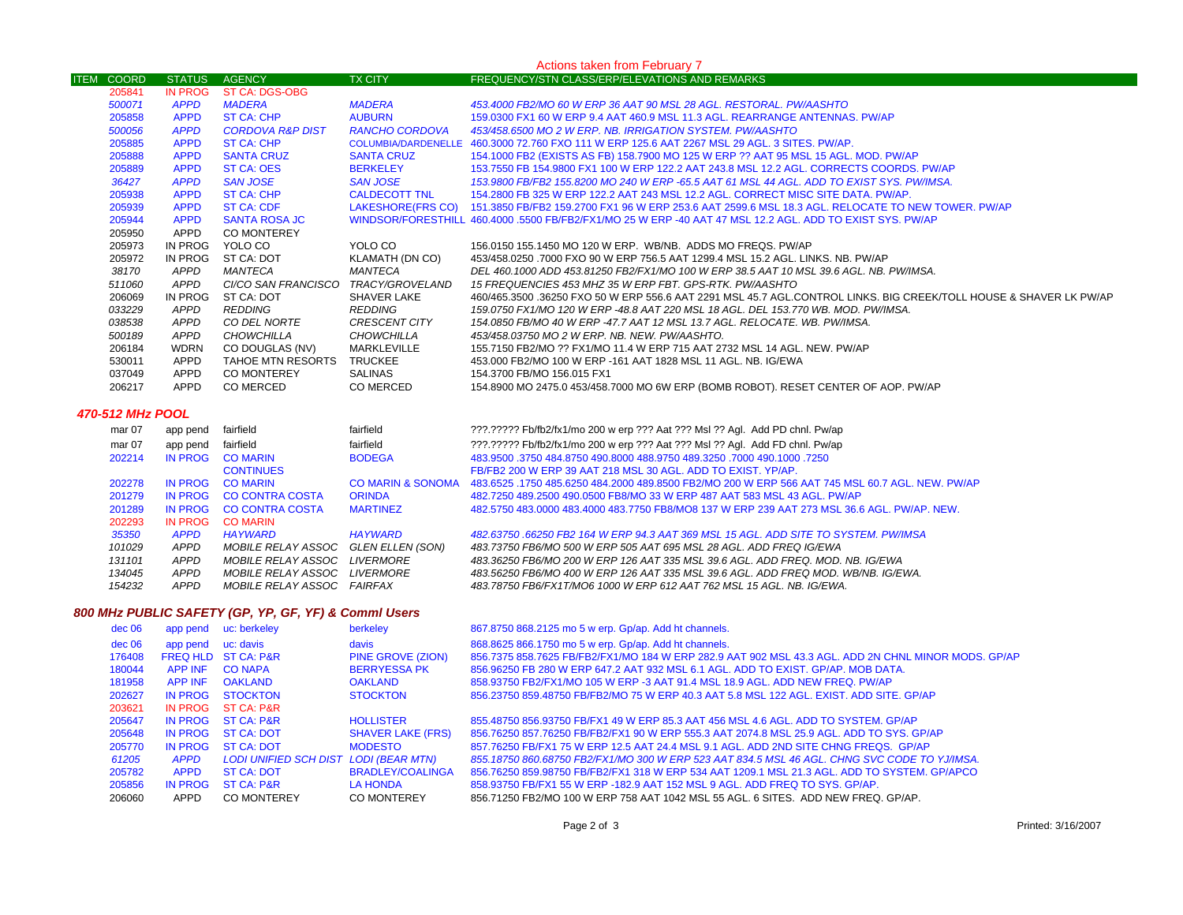| Actions taken from February 7 |               |                             |                      |                                                                                                                     |  |
|-------------------------------|---------------|-----------------------------|----------------------|---------------------------------------------------------------------------------------------------------------------|--|
| <b>ITEM COORD</b>             | <b>STATUS</b> | <b>AGENCY</b>               | <b>TX CITY</b>       | <b>FREQUENCY/STN CLASS/ERP/ELEVATIONS AND REMARKS</b>                                                               |  |
| 205841                        | IN PROG       | <b>ST CA: DGS-OBG</b>       |                      |                                                                                                                     |  |
| 500071                        | <b>APPD</b>   | <b>MADERA</b>               | <b>MADERA</b>        | 453,4000 FB2/MO 60 W ERP 36 AAT 90 MSL 28 AGL. RESTORAL. PW/AASHTO                                                  |  |
| 205858                        | <b>APPD</b>   | ST CA: CHP                  | <b>AUBURN</b>        | 159,0300 FX1 60 W ERP 9.4 AAT 460.9 MSL 11.3 AGL, REARRANGE ANTENNAS, PW/AP                                         |  |
| 500056                        | <b>APPD</b>   | <b>CORDOVA R&amp;P DIST</b> | RANCHO CORDOVA       | 453/458.6500 MO 2 W ERP. NB. IRRIGATION SYSTEM. PW/AASHTO                                                           |  |
| 205885                        | <b>APPD</b>   | ST CA: CHP                  |                      | COLUMBIA/DARDENELLE 460.3000 72.760 FXO 111 W ERP 125.6 AAT 2267 MSL 29 AGL. 3 SITES, PW/AP.                        |  |
| 205888                        | <b>APPD</b>   | <b>SANTA CRUZ</b>           | <b>SANTA CRUZ</b>    | 154.1000 FB2 (EXISTS AS FB) 158.7900 MO 125 W ERP ?? AAT 95 MSL 15 AGL. MOD. PW/AP                                  |  |
| 205889                        | <b>APPD</b>   | <b>ST CA: OES</b>           | <b>BERKELEY</b>      | 153.7550 FB 154.9800 FX1 100 W ERP 122.2 AAT 243.8 MSL 12.2 AGL. CORRECTS COORDS, PW/AP                             |  |
| 36427                         | <b>APPD</b>   | <b>SAN JOSE</b>             | <b>SAN JOSE</b>      | 153,9800 FB/FB2 155,8200 MO 240 W ERP -65.5 AAT 61 MSL 44 AGL. ADD TO EXIST SYS. PW/IMSA.                           |  |
| 205938                        | <b>APPD</b>   | ST CA: CHP                  | <b>CALDECOTT TNL</b> | 154.2800 FB 325 W ERP 122.2 AAT 243 MSL 12.2 AGL. CORRECT MISC SITE DATA. PW/AP.                                    |  |
| 205939                        | <b>APPD</b>   | <b>ST CA: CDF</b>           |                      | LAKESHORE(FRS CO) 151.3850 FB/FB2 159.2700 FX1 96 W ERP 253.6 AAT 2599.6 MSL 18.3 AGL. RELOCATE TO NEW TOWER. PW/AP |  |
| 205944                        | <b>APPD</b>   | <b>SANTA ROSA JC</b>        |                      | WINDSOR/FORESTHILL 460.4000 5500 FB/FB2/FX1/MO 25 W ERP -40 AAT 47 MSL 12.2 AGL. ADD TO EXIST SYS. PW/AP            |  |
| 205950                        | <b>APPD</b>   | <b>CO MONTEREY</b>          |                      |                                                                                                                     |  |
| 205973                        | IN PROG       | YOLO CO                     | YOLO CO              | 156,0150 155,1450 MO 120 W ERP. WB/NB. ADDS MO FREQS, PW/AP                                                         |  |
| 205972                        | IN PROG       | ST CA: DOT                  | KLAMATH (DN CO)      | 453/458.0250 .7000 FXO 90 W ERP 756.5 AAT 1299.4 MSL 15.2 AGL, LINKS, NB, PW/AP                                     |  |
| 38170                         | APPD          | MANTECA                     | MANTECA              | DEL 460.1000 ADD 453.81250 FB2/FX1/MO 100 W ERP 38.5 AAT 10 MSL 39.6 AGL. NB. PW/IMSA.                              |  |
| 511060                        | APPD          | CI/CO SAN FRANCISCO         | TRACY/GROVELAND      | 15 FREQUENCIES 453 MHZ 35 W ERP FBT. GPS-RTK. PW/AASHTO                                                             |  |
| 206069                        | IN PROG       | ST CA: DOT                  | <b>SHAVER LAKE</b>   | 460/465.3500 .36250 FXO 50 W ERP 556.6 AAT 2291 MSL 45.7 AGL.CONTROL LINKS. BIG CREEK/TOLL HOUSE & SHAVER LK PW/AP  |  |
| 033229                        | APPD          | REDDING                     | <b>REDDING</b>       | 159.0750 FX1/MO 120 W ERP -48.8 AAT 220 MSL 18 AGL. DEL 153.770 WB. MOD. PW/IMSA.                                   |  |
| 038538                        | APPD          | CO DEL NORTE                | <b>CRESCENT CITY</b> | 154.0850 FB/MO 40 W ERP -47.7 AAT 12 MSL 13.7 AGL. RELOCATE. WB. PW/IMSA.                                           |  |
| 500189                        | APPD          | CHOWCHILLA                  | <b>CHOWCHILLA</b>    | 453/458.03750 MO 2 W ERP. NB. NEW. PW/AASHTO.                                                                       |  |
| 206184                        | <b>WDRN</b>   | CO DOUGLAS (NV)             | <b>MARKLEVILLE</b>   | 155,7150 FB2/MO ?? FX1/MO 11.4 W ERP 715 AAT 2732 MSL 14 AGL, NEW, PW/AP                                            |  |
| 530011                        | APPD          | TAHOE MTN RESORTS           | <b>TRUCKEE</b>       | 453,000 FB2/MO 100 W ERP -161 AAT 1828 MSL 11 AGL. NB. IG/EWA                                                       |  |
| 037049                        | <b>APPD</b>   | <b>CO MONTEREY</b>          | SALINAS              | 154.3700 FB/MO 156.015 FX1                                                                                          |  |
| 206217                        | <b>APPD</b>   | CO MERCED                   | CO MERCED            | 154.8900 MO 2475.0 453/458.7000 MO 6W ERP (BOMB ROBOT). RESET CENTER OF AOP. PW/AP                                  |  |

#### *470-512 MHz POOL*

| mar 07 | app pend    | fairfield                  | fairfield         | ???.????? Fb/fb2/fx1/mo 200 w erp ??? Aat ??? Msl ?? Agl. Add PD chnl. Pw/ap                    |
|--------|-------------|----------------------------|-------------------|-------------------------------------------------------------------------------------------------|
| mar 07 | app pend    | fairfield                  | fairfield         | ???.????? Fb/fb2/fx1/mo 200 w erp ??? Aat ??? Msl ?? Agl. Add FD chnl. Pw/ap                    |
| 202214 | IN PROG     | <b>CO MARIN</b>            | <b>BODEGA</b>     | 483,9500 .3750 484,8750 490,8000 488,9750 489,3250 .7000 490,1000 .3750                         |
|        |             | <b>CONTINUES</b>           |                   | FB/FB2 200 W ERP 39 AAT 218 MSL 30 AGL, ADD TO EXIST, YP/AP.                                    |
| 202278 | IN PROG     | <b>CO MARIN</b>            | CO MARIN & SONOMA | 483.6525 .1750 485.6250 484.2000 489.8500 FB2/MO 200 W ERP 566 AAT 745 MSL 60.7 AGL. NEW. PW/AP |
| 201279 | IN PROG     | CO CONTRA COSTA            | <b>ORINDA</b>     | 482,7250 489,2500 490,0500 FB8/MO 33 W ERP 487 AAT 583 MSL 43 AGL, PW/AP                        |
| 201289 | IN PROG     | CO CONTRA COSTA            | <b>MARTINEZ</b>   | 482,5750 483,0000 483,4000 483,7750 FB8/MO8 137 W ERP 239 AAT 273 MSL 36.6 AGL, PW/AP, NEW,     |
| 202293 | IN PROG     | <b>CO MARIN</b>            |                   |                                                                                                 |
| 35350  | <b>APPD</b> | <b>HAYWARD</b>             | <b>HAYWARD</b>    | 482.63750 .66250 FB2 164 W ERP 94.3 AAT 369 MSL 15 AGL. ADD SITE TO SYSTEM. PW/IMSA             |
| 101029 | APPD        | MOBILE RELAY ASSOC         | GLEN ELLEN (SON)  | 483.73750 FB6/MO 500 W ERP 505 AAT 695 MSL 28 AGL. ADD FREQ IG/EWA                              |
| 131101 | APPD        | MOBILE RELAY ASSOC         | LIVERMORE         | 483.36250 FB6/MO 200 W ERP 126 AAT 335 MSL 39.6 AGL. ADD FREQ. MOD. NB. IG/EWA                  |
| 134045 | APPD        | MOBILE RELAY ASSOC         | <i>LIVERMORE</i>  | 483.56250 FB6/MO 400 W ERP 126 AAT 335 MSL 39.6 AGL. ADD FREQ MOD. WB/NB. IG/EWA.               |
| 154232 | <b>APPD</b> | MOBILE RELAY ASSOC FAIRFAX |                   | 483.78750 FB6/FX1T/MO6 1000 W ERP 612 AAT 762 MSL 15 AGL. NB. IG/EWA.                           |
|        |             |                            |                   |                                                                                                 |

### *800 MHz PUBLIC SAFETY (GP, YP, GF, YF) & Comml Users*

| dec 06 | app pend       | uc: berkeley                          | berkeley                 | 867.8750 868.2125 mo 5 w erp. Gp/ap. Add ht channels.                                               |
|--------|----------------|---------------------------------------|--------------------------|-----------------------------------------------------------------------------------------------------|
| dec 06 | app pend       | uc: davis                             | davis                    | 868.8625 866.1750 mo 5 w erp. Gp/ap. Add ht channels.                                               |
| 176408 |                | FREQ HLD ST CA: P&R                   | <b>PINE GROVE (ZION)</b> | 856.7375 858.7625 FB/FB2/FX1/MO 184 W ERP 282.9 AAT 902 MSL 43.3 AGL. ADD 2N CHNL MINOR MODS, GP/AP |
| 180044 | <b>APP INF</b> | <b>CO NAPA</b>                        | <b>BERRYESSA PK</b>      | 856,96250 FB 280 W ERP 647.2 AAT 932 MSL 6.1 AGL, ADD TO EXIST, GP/AP, MOB DATA,                    |
| 181958 | <b>APP INF</b> | <b>OAKLAND</b>                        | <b>OAKLAND</b>           | 858.93750 FB2/FX1/MO 105 W ERP -3 AAT 91.4 MSL 18.9 AGL. ADD NEW FREQ. PW/AP                        |
| 202627 | IN PROG        | <b>STOCKTON</b>                       | <b>STOCKTON</b>          | 856.23750 859.48750 FB/FB2/MO 75 W ERP 40.3 AAT 5.8 MSL 122 AGL. EXIST, ADD SITE, GP/AP             |
| 203621 | <b>IN PROG</b> | ST CA: P&R                            |                          |                                                                                                     |
| 205647 | IN PROG        | <b>ST CA: P&amp;R</b>                 | <b>HOLLISTER</b>         | 855.48750 856.93750 FB/FX1 49 W ERP 85.3 AAT 456 MSL 4.6 AGL, ADD TO SYSTEM, GP/AP                  |
| 205648 | <b>IN PROG</b> | ST CA: DOT                            | <b>SHAVER LAKE (FRS)</b> | 856.76250 857.76250 FB/FB2/FX1 90 W ERP 555.3 AAT 2074.8 MSL 25.9 AGL. ADD TO SYS. GP/AP            |
| 205770 | IN PROG        | ST CA: DOT                            | <b>MODESTO</b>           | 857.76250 FB/FX1 75 W ERP 12.5 AAT 24.4 MSL 9.1 AGL, ADD 2ND SITE CHNG FREQS. GP/AP                 |
| 61205  | <b>APPD</b>    | LODI UNIFIED SCH DIST LODI (BEAR MTN) |                          | 855.18750 860.68750 FB2/FX1/MO 300 W ERP 523 AAT 834.5 MSL 46 AGL. CHNG SVC CODE TO YJ/IMSA.        |
| 205782 | <b>APPD</b>    | <b>ST CA: DOT</b>                     | BRADLEY/COALINGA         | 856.76250 859.98750 FB/FB2/FX1 318 W ERP 534 AAT 1209.1 MSL 21.3 AGL, ADD TO SYSTEM, GP/APCO        |
| 205856 | IN PROG        | <b>ST CA: P&amp;R</b>                 | <b>LA HONDA</b>          | 858,93750 FB/FX1 55 W ERP -182.9 AAT 152 MSL 9 AGL. ADD FREQ TO SYS. GP/AP.                         |
| 206060 | APPD           | CO MONTEREY                           | CO MONTEREY              | 856.71250 FB2/MO 100 W ERP 758 AAT 1042 MSL 55 AGL. 6 SITES. ADD NEW FREQ. GP/AP.                   |